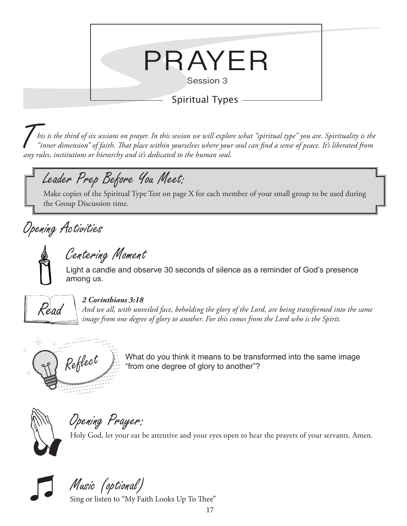

T*his is the third of six sessions on prayer. In this session we will explore what "spiritual type" you are. Spirituality is the "inner dimension" of faith. That place within yourselves where your soul can find a sense of peace. It's liberated from any rules, institutions or hierarchy and it's dedicated to the human soul.*

## Leader Prep Before You Meet:

Make copies of the Spiritual Type Test on page X for each member of your small group to be used during the Group Discussion time.

## Opening Activities



Centering Moment

Light a candle and observe 30 seconds of silence as a reminder of God's presence among us.



#### *2 Corinthians 3:18*

*And we all, with unveiled face, beholding the glory of the Lord, are being transformed into the same image from one degree of glory to another. For this comes from the Lord who is the Spirit.*



 $Re\acute{f}$  What do you think it means to be transformed into the same image "from one degree of glory to another"? "from one degree of glory to another"?



Opening Prayer:

Holy God, let your ear be attentive and your eyes open to hear the prayers of your servants. Amen.

Music (optional)

Sing or listen to "My Faith Looks Up To Thee"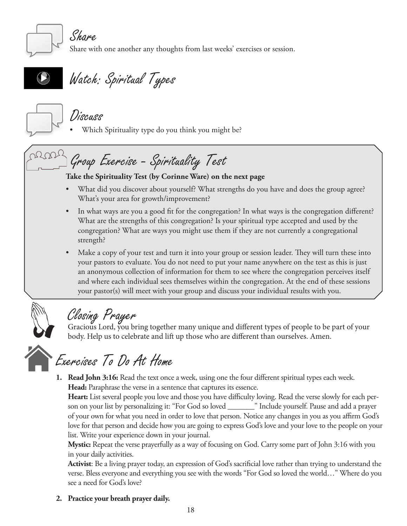

Share

Share with one another any thoughts from last weeks' exercises or session.



Watch: Spiritual Types



Discuss

Which Spirituality type do you think you might be?

# $T^{12,00}$  Group Exercise - Spirituality Test

#### **Take the Spirituality Test (by Corinne Ware) on the next page**

- What did you discover about yourself? What strengths do you have and does the group agree? What's your area for growth/improvement?
- In what ways are you a good fit for the congregation? In what ways is the congregation different? What are the strengths of this congregation? Is your spiritual type accepted and used by the congregation? What are ways you might use them if they are not currently a congregational strength?
- Make a copy of your test and turn it into your group or session leader. They will turn these into your pastors to evaluate. You do not need to put your name anywhere on the test as this is just an anonymous collection of information for them to see where the congregation perceives itself and where each individual sees themselves within the congregation. At the end of these sessions your pastor(s) will meet with your group and discuss your individual results with you.



### Closing Prayer

Gracious Lord, you bring together many unique and different types of people to be part of your body. Help us to celebrate and lift up those who are different than ourselves. Amen.

Exercises To Do At Home

**1. Read John 3:16:** Read the text once a week, using one the four different spiritual types each week. **Head:** Paraphrase the verse in a sentence that captures its essence.

**Heart:** List several people you love and those you have difficulty loving. Read the verse slowly for each person on your list by personalizing it: "For God so loved \_\_\_\_\_\_\_" Include yourself. Pause and add a prayer of your own for what you need in order to love that person. Notice any changes in you as you affirm God's love for that person and decide how you are going to express God's love and your love to the people on your list. Write your experience down in your journal.

**Mystic:** Repeat the verse prayerfully as a way of focusing on God. Carry some part of John 3:16 with you in your daily activities.

**Activist**: Be a living prayer today, an expression of God's sacrificial love rather than trying to understand the verse. Bless everyone and everything you see with the words "For God so loved the world…" Where do you see a need for God's love?

**2. Practice your breath prayer daily.**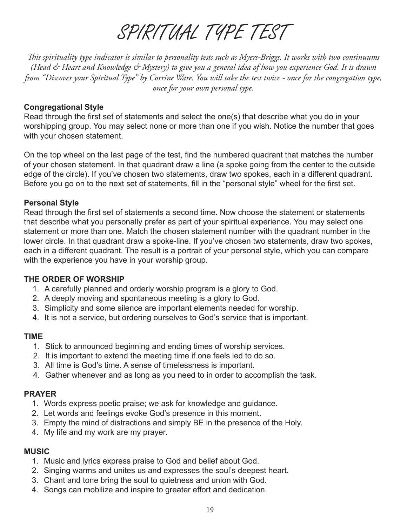# SPIRITUAL TYPE TEST

*This spirituality type indicator is similar to personality tests such as Myers-Briggs. It works with two continuums (Head & Heart and Knowledge & Mystery) to give you a general idea of how you experience God. It is drawn from "Discover your Spiritual Type" by Corrine Ware. You will take the test twice - once for the congregation type, once for your own personal type.*

#### **Congregational Style**

Read through the first set of statements and select the one(s) that describe what you do in your worshipping group. You may select none or more than one if you wish. Notice the number that goes with your chosen statement.

On the top wheel on the last page of the test, find the numbered quadrant that matches the number of your chosen statement. In that quadrant draw a line (a spoke going from the center to the outside edge of the circle). If you've chosen two statements, draw two spokes, each in a different quadrant. Before you go on to the next set of statements, fill in the "personal style" wheel for the first set.

#### **Personal Style**

Read through the first set of statements a second time. Now choose the statement or statements that describe what you personally prefer as part of your spiritual experience. You may select one statement or more than one. Match the chosen statement number with the quadrant number in the lower circle. In that quadrant draw a spoke-line. If you've chosen two statements, draw two spokes, each in a different quadrant. The result is a portrait of your personal style, which you can compare with the experience you have in your worship group.

#### **THE ORDER OF WORSHIP**

- 1. A carefully planned and orderly worship program is a glory to God.
- 2. A deeply moving and spontaneous meeting is a glory to God.
- 3. Simplicity and some silence are important elements needed for worship.
- 4. It is not a service, but ordering ourselves to God's service that is important.

#### **TIME**

- 1. Stick to announced beginning and ending times of worship services.
- 2. It is important to extend the meeting time if one feels led to do so.
- 3. All time is God's time. A sense of timelessness is important.
- 4. Gather whenever and as long as you need to in order to accomplish the task.

#### **PRAYER**

- 1. Words express poetic praise; we ask for knowledge and guidance.
- 2. Let words and feelings evoke God's presence in this moment.
- 3. Empty the mind of distractions and simply BE in the presence of the Holy.
- 4. My life and my work are my prayer.

#### **MUSIC**

- 1. Music and lyrics express praise to God and belief about God.
- 2. Singing warms and unites us and expresses the soul's deepest heart.
- 3. Chant and tone bring the soul to quietness and union with God.
- 4. Songs can mobilize and inspire to greater effort and dedication.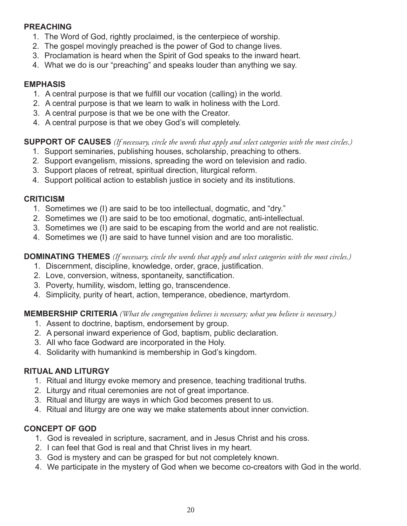#### **PREACHING**

- 1. The Word of God, rightly proclaimed, is the centerpiece of worship.
- 2. The gospel movingly preached is the power of God to change lives.
- 3. Proclamation is heard when the Spirit of God speaks to the inward heart.
- 4. What we do is our "preaching" and speaks louder than anything we say.

#### **EMPHASIS**

- 1. A central purpose is that we fulfill our vocation (calling) in the world.
- 2. A central purpose is that we learn to walk in holiness with the Lord.
- 3. A central purpose is that we be one with the Creator.
- 4. A central purpose is that we obey God's will completely.

#### **SUPPORT OF CAUSES** *(If necessary, circle the words that apply and select categories with the most circles.)*

- 1. Support seminaries, publishing houses, scholarship, preaching to others.
- 2. Support evangelism, missions, spreading the word on television and radio.
- 3. Support places of retreat, spiritual direction, liturgical reform.
- 4. Support political action to establish justice in society and its institutions.

#### **CRITICISM**

- 1. Sometimes we (I) are said to be too intellectual, dogmatic, and "dry."
- 2. Sometimes we (I) are said to be too emotional, dogmatic, anti-intellectual.
- 3. Sometimes we (I) are said to be escaping from the world and are not realistic.
- 4. Sometimes we (I) are said to have tunnel vision and are too moralistic.

#### **DOMINATING THEMES** *(If necessary, circle the words that apply and select categories with the most circles.)*

- 1. Discernment, discipline, knowledge, order, grace, justification.
- 2. Love, conversion, witness, spontaneity, sanctification.
- 3. Poverty, humility, wisdom, letting go, transcendence.
- 4. Simplicity, purity of heart, action, temperance, obedience, martyrdom.

#### **MEMBERSHIP CRITERIA** *(What the congregation believes is necessary; what you believe is necessary.)*

- 1. Assent to doctrine, baptism, endorsement by group.
- 2. A personal inward experience of God, baptism, public declaration.
- 3. All who face Godward are incorporated in the Holy.
- 4. Solidarity with humankind is membership in God's kingdom.

#### **RITUAL AND LITURGY**

- 1. Ritual and liturgy evoke memory and presence, teaching traditional truths.
- 2. Liturgy and ritual ceremonies are not of great importance.
- 3. Ritual and liturgy are ways in which God becomes present to us.
- 4. Ritual and liturgy are one way we make statements about inner conviction.

#### **CONCEPT OF GOD**

- 1. God is revealed in scripture, sacrament, and in Jesus Christ and his cross.
- 2. I can feel that God is real and that Christ lives in my heart.
- 3. God is mystery and can be grasped for but not completely known.
- 4. We participate in the mystery of God when we become co-creators with God in the world.